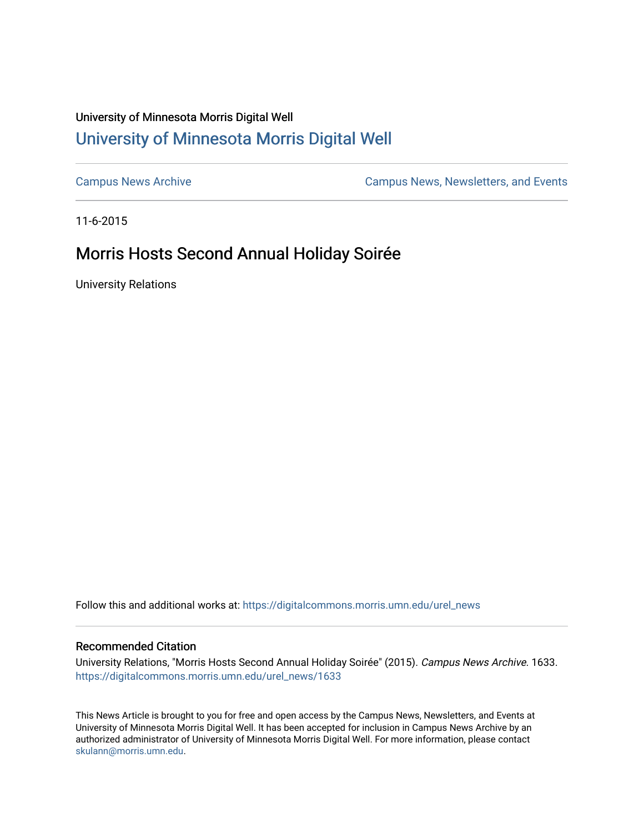## University of Minnesota Morris Digital Well [University of Minnesota Morris Digital Well](https://digitalcommons.morris.umn.edu/)

[Campus News Archive](https://digitalcommons.morris.umn.edu/urel_news) [Campus News, Newsletters, and Events](https://digitalcommons.morris.umn.edu/externalrel) 

11-6-2015

# Morris Hosts Second Annual Holiday Soirée

University Relations

Follow this and additional works at: [https://digitalcommons.morris.umn.edu/urel\\_news](https://digitalcommons.morris.umn.edu/urel_news?utm_source=digitalcommons.morris.umn.edu%2Furel_news%2F1633&utm_medium=PDF&utm_campaign=PDFCoverPages) 

### Recommended Citation

University Relations, "Morris Hosts Second Annual Holiday Soirée" (2015). Campus News Archive. 1633. [https://digitalcommons.morris.umn.edu/urel\\_news/1633](https://digitalcommons.morris.umn.edu/urel_news/1633?utm_source=digitalcommons.morris.umn.edu%2Furel_news%2F1633&utm_medium=PDF&utm_campaign=PDFCoverPages) 

This News Article is brought to you for free and open access by the Campus News, Newsletters, and Events at University of Minnesota Morris Digital Well. It has been accepted for inclusion in Campus News Archive by an authorized administrator of University of Minnesota Morris Digital Well. For more information, please contact [skulann@morris.umn.edu.](mailto:skulann@morris.umn.edu)